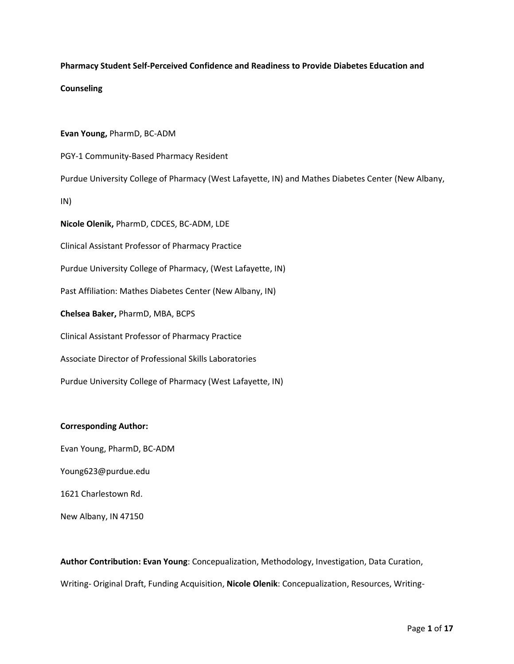## **Pharmacy Student Self-Perceived Confidence and Readiness to Provide Diabetes Education and**

## **Counseling**

**Evan Young,** PharmD, BC-ADM

PGY-1 Community-Based Pharmacy Resident

Purdue University College of Pharmacy (West Lafayette, IN) and Mathes Diabetes Center (New Albany,

IN)

**Nicole Olenik,** PharmD, CDCES, BC-ADM, LDE

Clinical Assistant Professor of Pharmacy Practice

Purdue University College of Pharmacy, (West Lafayette, IN)

Past Affiliation: Mathes Diabetes Center (New Albany, IN)

**Chelsea Baker,** PharmD, MBA, BCPS

Clinical Assistant Professor of Pharmacy Practice

Associate Director of Professional Skills Laboratories

Purdue University College of Pharmacy (West Lafayette, IN)

## **Corresponding Author:**

Evan Young, PharmD, BC-ADM

Young623@purdue.edu

1621 Charlestown Rd.

New Albany, IN 47150

**Author Contribution: Evan Young**: Concepualization, Methodology, Investigation, Data Curation, Writing- Original Draft, Funding Acquisition, **Nicole Olenik**: Concepualization, Resources, Writing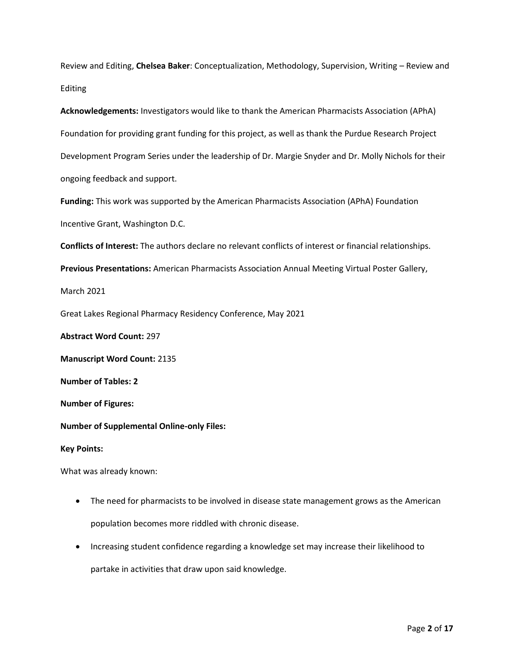Review and Editing, **Chelsea Baker**: Conceptualization, Methodology, Supervision, Writing – Review and Editing

**Acknowledgements:** Investigators would like to thank the American Pharmacists Association (APhA) Foundation for providing grant funding for this project, as well as thank the Purdue Research Project Development Program Series under the leadership of Dr. Margie Snyder and Dr. Molly Nichols for their ongoing feedback and support.

**Funding:** This work was supported by the American Pharmacists Association (APhA) Foundation Incentive Grant, Washington D.C.

**Conflicts of Interest:** The authors declare no relevant conflicts of interest or financial relationships.

**Previous Presentations:** American Pharmacists Association Annual Meeting Virtual Poster Gallery,

March 2021

Great Lakes Regional Pharmacy Residency Conference, May 2021

**Abstract Word Count:** 297

**Manuscript Word Count:** 2135

**Number of Tables: 2**

**Number of Figures:**

**Number of Supplemental Online-only Files:** 

**Key Points:**

What was already known:

- The need for pharmacists to be involved in disease state management grows as the American population becomes more riddled with chronic disease.
- Increasing student confidence regarding a knowledge set may increase their likelihood to

partake in activities that draw upon said knowledge.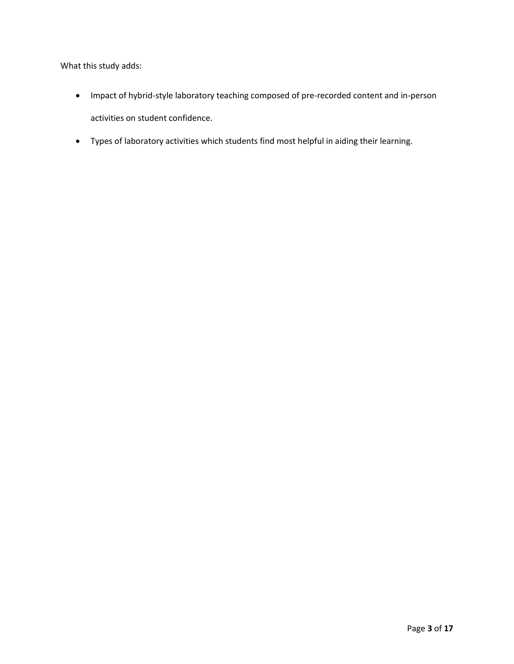What this study adds:

- Impact of hybrid-style laboratory teaching composed of pre-recorded content and in-person activities on student confidence.
- Types of laboratory activities which students find most helpful in aiding their learning.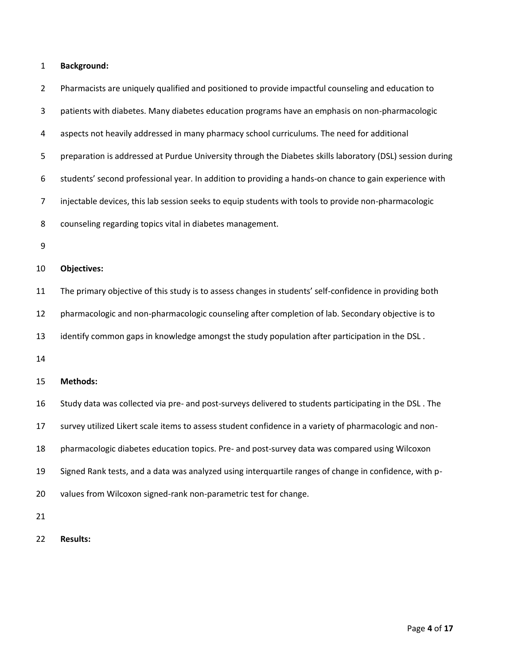## **Background:**

| $\overline{2}$ | Pharmacists are uniquely qualified and positioned to provide impactful counseling and education to        |
|----------------|-----------------------------------------------------------------------------------------------------------|
| 3              | patients with diabetes. Many diabetes education programs have an emphasis on non-pharmacologic            |
| 4              | aspects not heavily addressed in many pharmacy school curriculums. The need for additional                |
| 5              | preparation is addressed at Purdue University through the Diabetes skills laboratory (DSL) session during |
| 6              | students' second professional year. In addition to providing a hands-on chance to gain experience with    |
| $\overline{7}$ | injectable devices, this lab session seeks to equip students with tools to provide non-pharmacologic      |
| 8              | counseling regarding topics vital in diabetes management.                                                 |
| 9              |                                                                                                           |
| 10             | <b>Objectives:</b>                                                                                        |
| 11             | The primary objective of this study is to assess changes in students' self-confidence in providing both   |
| 12             | pharmacologic and non-pharmacologic counseling after completion of lab. Secondary objective is to         |
| 13             | identify common gaps in knowledge amongst the study population after participation in the DSL.            |
| 14             |                                                                                                           |
| 15             | <b>Methods:</b>                                                                                           |
| 16             | Study data was collected via pre- and post-surveys delivered to students participating in the DSL. The    |
| 17             | survey utilized Likert scale items to assess student confidence in a variety of pharmacologic and non-    |
| 18             | pharmacologic diabetes education topics. Pre- and post-survey data was compared using Wilcoxon            |
| 19             | Signed Rank tests, and a data was analyzed using interquartile ranges of change in confidence, with p-    |
| 20             | values from Wilcoxon signed-rank non-parametric test for change.                                          |
| 21             |                                                                                                           |
| 22             | <b>Results:</b>                                                                                           |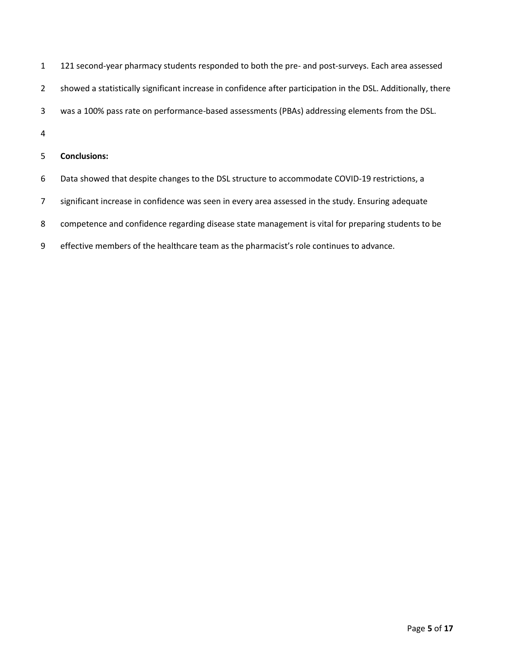| $\mathbf{1}$   | 121 second-year pharmacy students responded to both the pre- and post-surveys. Each area assessed             |
|----------------|---------------------------------------------------------------------------------------------------------------|
| $2^{\circ}$    | showed a statistically significant increase in confidence after participation in the DSL. Additionally, there |
| 3              | was a 100% pass rate on performance-based assessments (PBAs) addressing elements from the DSL.                |
| 4              |                                                                                                               |
| 5              | <b>Conclusions:</b>                                                                                           |
| 6              | Data showed that despite changes to the DSL structure to accommodate COVID-19 restrictions, a                 |
| $\overline{7}$ | significant increase in confidence was seen in every area assessed in the study. Ensuring adequate            |
| 8              | competence and confidence regarding disease state management is vital for preparing students to be            |
| 9              | effective members of the healthcare team as the pharmacist's role continues to advance.                       |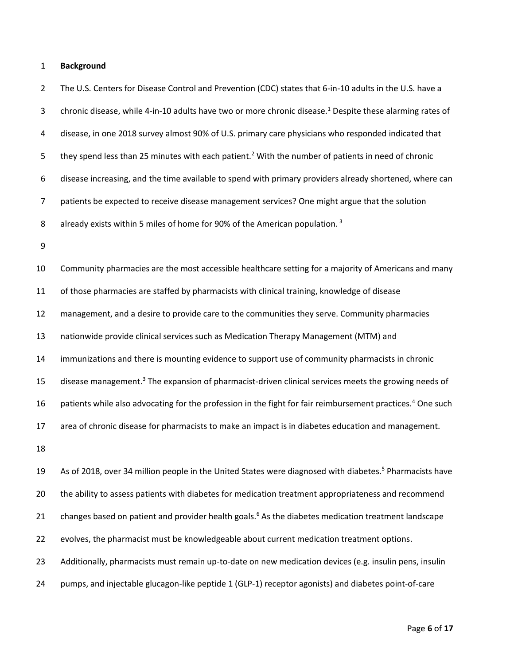#### **Background**

 The U.S. Centers for Disease Control and Prevention (CDC) states that 6-in-10 adults in the U.S. have a 3 chronic disease, while 4-in-10 adults have two or more chronic disease.<sup>1</sup> Despite these alarming rates of disease, in one 2018 survey almost 90% of U.S. primary care physicians who responded indicated that 5 they spend less than 25 minutes with each patient.<sup>2</sup> With the number of patients in need of chronic disease increasing, and the time available to spend with primary providers already shortened, where can patients be expected to receive disease management services? One might argue that the solution 8 already exists within 5 miles of home for 90% of the American population.<sup>3</sup> Community pharmacies are the most accessible healthcare setting for a majority of Americans and many of those pharmacies are staffed by pharmacists with clinical training, knowledge of disease management, and a desire to provide care to the communities they serve. Community pharmacies nationwide provide clinical services such as Medication Therapy Management (MTM) and immunizations and there is mounting evidence to support use of community pharmacists in chronic 15 disease management.<sup>3</sup> The expansion of pharmacist-driven clinical services meets the growing needs of 16 patients while also advocating for the profession in the fight for fair reimbursement practices.<sup>4</sup> One such area of chronic disease for pharmacists to make an impact is in diabetes education and management. 19 As of 2018, over 34 million people in the United States were diagnosed with diabetes.<sup>5</sup> Pharmacists have the ability to assess patients with diabetes for medication treatment appropriateness and recommend 21 changes based on patient and provider health goals.<sup>6</sup> As the diabetes medication treatment landscape 22 evolves, the pharmacist must be knowledgeable about current medication treatment options.

Additionally, pharmacists must remain up-to-date on new medication devices (e.g. insulin pens, insulin

pumps, and injectable glucagon-like peptide 1 (GLP-1) receptor agonists) and diabetes point-of-care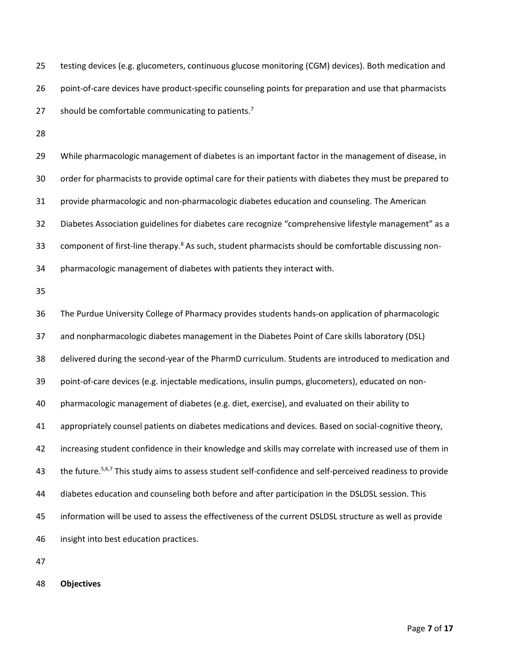testing devices (e.g. glucometers, continuous glucose monitoring (CGM) devices). Both medication and point-of-care devices have product-specific counseling points for preparation and use that pharmacists 27 should be comfortable communicating to patients.<sup>7</sup>

 While pharmacologic management of diabetes is an important factor in the management of disease, in order for pharmacists to provide optimal care for their patients with diabetes they must be prepared to provide pharmacologic and non-pharmacologic diabetes education and counseling. The American Diabetes Association guidelines for diabetes care recognize "comprehensive lifestyle management" as a 33 component of first-line therapy.<sup>8</sup> As such, student pharmacists should be comfortable discussing non-pharmacologic management of diabetes with patients they interact with.

 The Purdue University College of Pharmacy provides students hands-on application of pharmacologic and nonpharmacologic diabetes management in the Diabetes Point of Care skills laboratory (DSL) delivered during the second-year of the PharmD curriculum. Students are introduced to medication and point-of-care devices (e.g. injectable medications, insulin pumps, glucometers), educated on non- pharmacologic management of diabetes (e.g. diet, exercise), and evaluated on their ability to appropriately counsel patients on diabetes medications and devices. Based on social-cognitive theory, increasing student confidence in their knowledge and skills may correlate with increased use of them in 43 the future.<sup>5,6,7</sup> This study aims to assess student self-confidence and self-perceived readiness to provide diabetes education and counseling both before and after participation in the DSLDSL session. This information will be used to assess the effectiveness of the current DSLDSL structure as well as provide insight into best education practices.

**Objectives**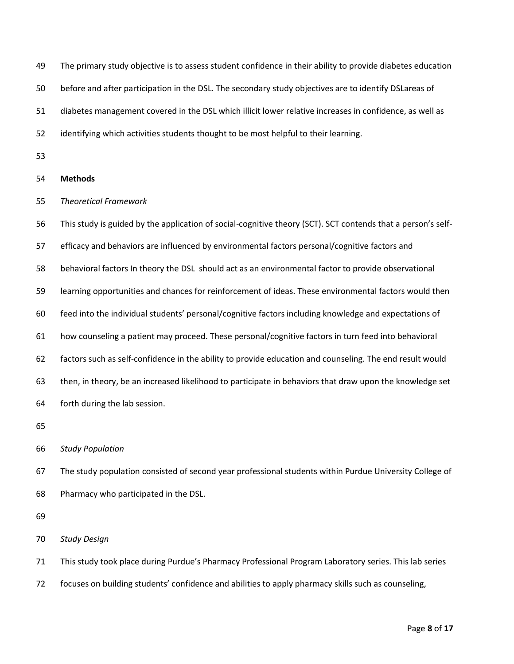| 49 | The primary study objective is to assess student confidence in their ability to provide diabetes education   |
|----|--------------------------------------------------------------------------------------------------------------|
| 50 | before and after participation in the DSL. The secondary study objectives are to identify DSLareas of        |
| 51 | diabetes management covered in the DSL which illicit lower relative increases in confidence, as well as      |
| 52 | identifying which activities students thought to be most helpful to their learning.                          |
| 53 |                                                                                                              |
| 54 | <b>Methods</b>                                                                                               |
| 55 | <b>Theoretical Framework</b>                                                                                 |
| 56 | This study is guided by the application of social-cognitive theory (SCT). SCT contends that a person's self- |
| 57 | efficacy and behaviors are influenced by environmental factors personal/cognitive factors and                |
| 58 | behavioral factors In theory the DSL should act as an environmental factor to provide observational          |
| 59 | learning opportunities and chances for reinforcement of ideas. These environmental factors would then        |
| 60 | feed into the individual students' personal/cognitive factors including knowledge and expectations of        |
| 61 | how counseling a patient may proceed. These personal/cognitive factors in turn feed into behavioral          |
| 62 | factors such as self-confidence in the ability to provide education and counseling. The end result would     |
| 63 | then, in theory, be an increased likelihood to participate in behaviors that draw upon the knowledge set     |
| 64 | forth during the lab session.                                                                                |
| 65 |                                                                                                              |
| 66 | <b>Study Population</b>                                                                                      |
| 67 | The study population consisted of second year professional students within Purdue University College of      |
| 68 | Pharmacy who participated in the DSL.                                                                        |
| 69 |                                                                                                              |
| 70 | <b>Study Design</b>                                                                                          |
| 71 | This study took place during Purdue's Pharmacy Professional Program Laboratory series. This lab series       |
| 72 | focuses on building students' confidence and abilities to apply pharmacy skills such as counseling,          |
|    |                                                                                                              |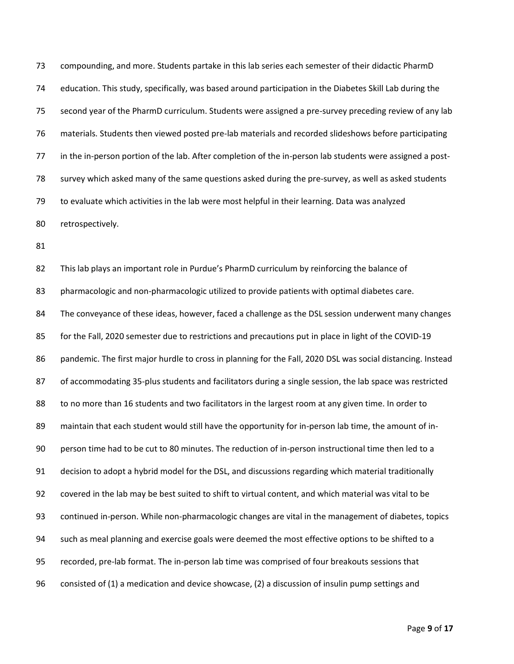compounding, and more. Students partake in this lab series each semester of their didactic PharmD education. This study, specifically, was based around participation in the Diabetes Skill Lab during the second year of the PharmD curriculum. Students were assigned a pre-survey preceding review of any lab materials. Students then viewed posted pre-lab materials and recorded slideshows before participating in the in-person portion of the lab. After completion of the in-person lab students were assigned a post- survey which asked many of the same questions asked during the pre-survey, as well as asked students to evaluate which activities in the lab were most helpful in their learning. Data was analyzed retrospectively.

 This lab plays an important role in Purdue's PharmD curriculum by reinforcing the balance of pharmacologic and non-pharmacologic utilized to provide patients with optimal diabetes care. The conveyance of these ideas, however, faced a challenge as the DSL session underwent many changes for the Fall, 2020 semester due to restrictions and precautions put in place in light of the COVID-19 pandemic. The first major hurdle to cross in planning for the Fall, 2020 DSL was social distancing. Instead of accommodating 35-plus students and facilitators during a single session, the lab space was restricted to no more than 16 students and two facilitators in the largest room at any given time. In order to maintain that each student would still have the opportunity for in-person lab time, the amount of in- person time had to be cut to 80 minutes. The reduction of in-person instructional time then led to a decision to adopt a hybrid model for the DSL, and discussions regarding which material traditionally covered in the lab may be best suited to shift to virtual content, and which material was vital to be continued in-person. While non-pharmacologic changes are vital in the management of diabetes, topics such as meal planning and exercise goals were deemed the most effective options to be shifted to a recorded, pre-lab format. The in-person lab time was comprised of four breakouts sessions that consisted of (1) a medication and device showcase, (2) a discussion of insulin pump settings and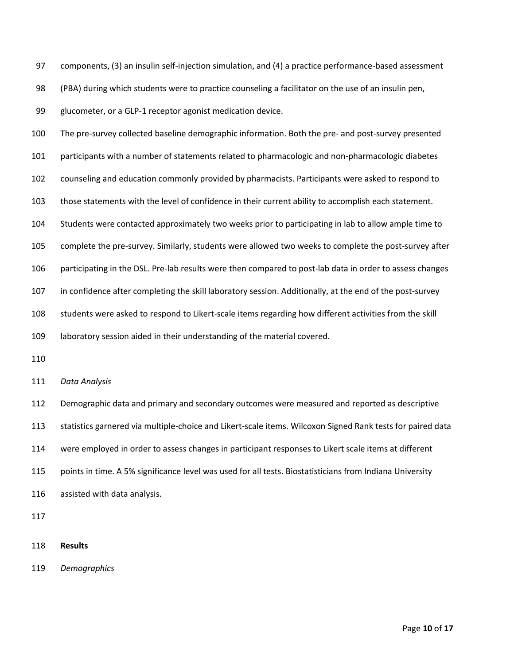components, (3) an insulin self-injection simulation, and (4) a practice performance-based assessment

(PBA) during which students were to practice counseling a facilitator on the use of an insulin pen,

glucometer, or a GLP-1 receptor agonist medication device.

 The pre-survey collected baseline demographic information. Both the pre- and post-survey presented participants with a number of statements related to pharmacologic and non-pharmacologic diabetes counseling and education commonly provided by pharmacists. Participants were asked to respond to those statements with the level of confidence in their current ability to accomplish each statement. Students were contacted approximately two weeks prior to participating in lab to allow ample time to complete the pre-survey. Similarly, students were allowed two weeks to complete the post-survey after participating in the DSL. Pre-lab results were then compared to post-lab data in order to assess changes in confidence after completing the skill laboratory session. Additionally, at the end of the post-survey students were asked to respond to Likert-scale items regarding how different activities from the skill laboratory session aided in their understanding of the material covered.

*Data Analysis*

 Demographic data and primary and secondary outcomes were measured and reported as descriptive statistics garnered via multiple-choice and Likert-scale items. Wilcoxon Signed Rank tests for paired data were employed in order to assess changes in participant responses to Likert scale items at different points in time. A 5% significance level was used for all tests. Biostatisticians from Indiana University assisted with data analysis.

**Results**

*Demographics*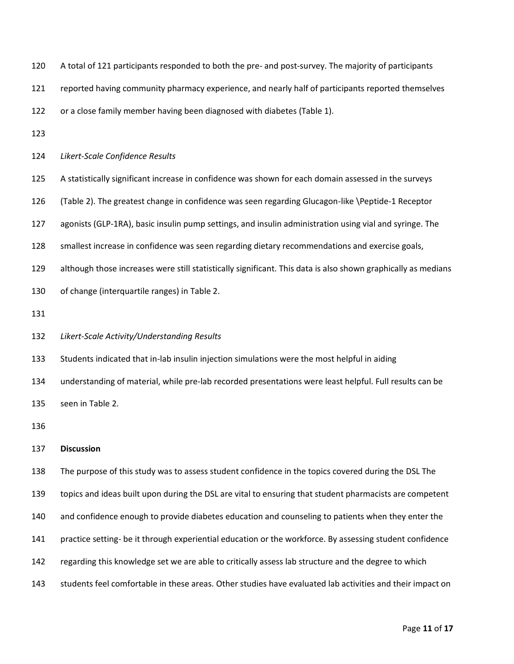| 120 | A total of 121 participants responded to both the pre- and post-survey. The majority of participants          |
|-----|---------------------------------------------------------------------------------------------------------------|
| 121 | reported having community pharmacy experience, and nearly half of participants reported themselves            |
| 122 | or a close family member having been diagnosed with diabetes (Table 1).                                       |
| 123 |                                                                                                               |
| 124 | Likert-Scale Confidence Results                                                                               |
| 125 | A statistically significant increase in confidence was shown for each domain assessed in the surveys          |
| 126 | (Table 2). The greatest change in confidence was seen regarding Glucagon-like \Peptide-1 Receptor             |
| 127 | agonists (GLP-1RA), basic insulin pump settings, and insulin administration using vial and syringe. The       |
| 128 | smallest increase in confidence was seen regarding dietary recommendations and exercise goals,                |
| 129 | although those increases were still statistically significant. This data is also shown graphically as medians |
| 130 | of change (interquartile ranges) in Table 2.                                                                  |
| 131 |                                                                                                               |
| 132 | Likert-Scale Activity/Understanding Results                                                                   |
| 133 | Students indicated that in-lab insulin injection simulations were the most helpful in aiding                  |
| 134 | understanding of material, while pre-lab recorded presentations were least helpful. Full results can be       |
| 135 | seen in Table 2.                                                                                              |
| 136 |                                                                                                               |
| 137 | <b>Discussion</b>                                                                                             |
| 138 | The purpose of this study was to assess student confidence in the topics covered during the DSL The           |
| 139 | topics and ideas built upon during the DSL are vital to ensuring that student pharmacists are competent       |
| 140 | and confidence enough to provide diabetes education and counseling to patients when they enter the            |
| 141 | practice setting- be it through experiential education or the workforce. By assessing student confidence      |
| 142 | regarding this knowledge set we are able to critically assess lab structure and the degree to which           |
|     |                                                                                                               |

students feel comfortable in these areas. Other studies have evaluated lab activities and their impact on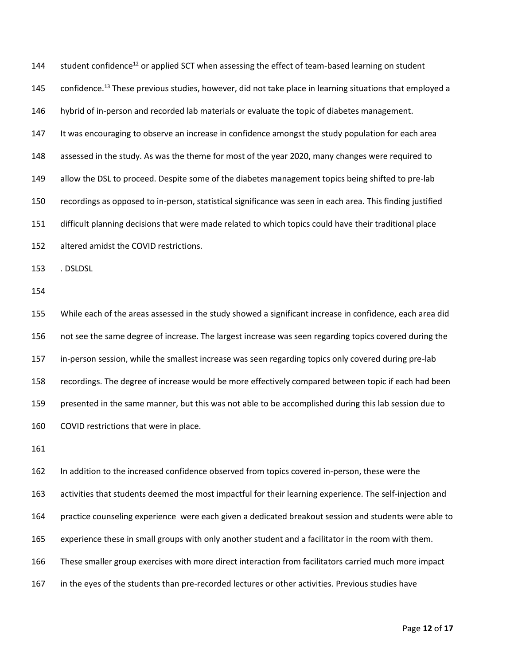144 student confidence<sup>12</sup> or applied SCT when assessing the effect of team-based learning on student 145 confidence.<sup>13</sup> These previous studies, however, did not take place in learning situations that employed a hybrid of in-person and recorded lab materials or evaluate the topic of diabetes management. It was encouraging to observe an increase in confidence amongst the study population for each area assessed in the study. As was the theme for most of the year 2020, many changes were required to 149 allow the DSL to proceed. Despite some of the diabetes management topics being shifted to pre-lab recordings as opposed to in-person, statistical significance was seen in each area. This finding justified difficult planning decisions that were made related to which topics could have their traditional place altered amidst the COVID restrictions. . DSLDSL While each of the areas assessed in the study showed a significant increase in confidence, each area did not see the same degree of increase. The largest increase was seen regarding topics covered during the in-person session, while the smallest increase was seen regarding topics only covered during pre-lab recordings. The degree of increase would be more effectively compared between topic if each had been presented in the same manner, but this was not able to be accomplished during this lab session due to COVID restrictions that were in place. In addition to the increased confidence observed from topics covered in-person, these were the

 activities that students deemed the most impactful for their learning experience. The self-injection and practice counseling experience were each given a dedicated breakout session and students were able to experience these in small groups with only another student and a facilitator in the room with them. These smaller group exercises with more direct interaction from facilitators carried much more impact in the eyes of the students than pre-recorded lectures or other activities. Previous studies have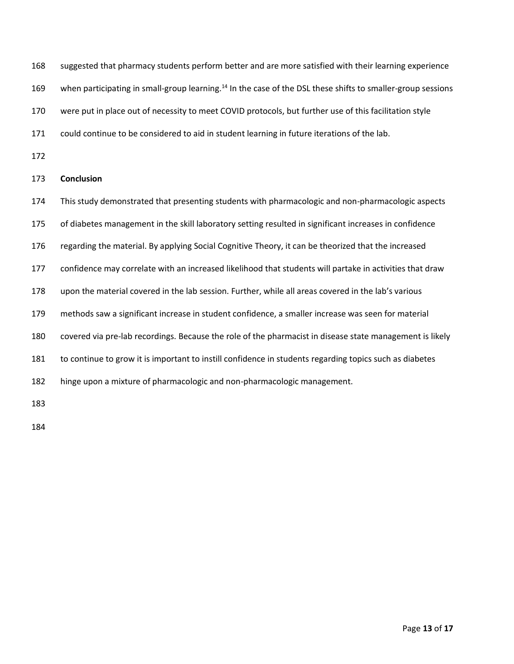suggested that pharmacy students perform better and are more satisfied with their learning experience 169 when participating in small-group learning.<sup>14</sup> In the case of the DSL these shifts to smaller-group sessions were put in place out of necessity to meet COVID protocols, but further use of this facilitation style

171 could continue to be considered to aid in student learning in future iterations of the lab.

## **Conclusion**

This study demonstrated that presenting students with pharmacologic and non-pharmacologic aspects

of diabetes management in the skill laboratory setting resulted in significant increases in confidence

regarding the material. By applying Social Cognitive Theory, it can be theorized that the increased

confidence may correlate with an increased likelihood that students will partake in activities that draw

upon the material covered in the lab session. Further, while all areas covered in the lab's various

methods saw a significant increase in student confidence, a smaller increase was seen for material

covered via pre-lab recordings. Because the role of the pharmacist in disease state management is likely

to continue to grow it is important to instill confidence in students regarding topics such as diabetes

hinge upon a mixture of pharmacologic and non-pharmacologic management.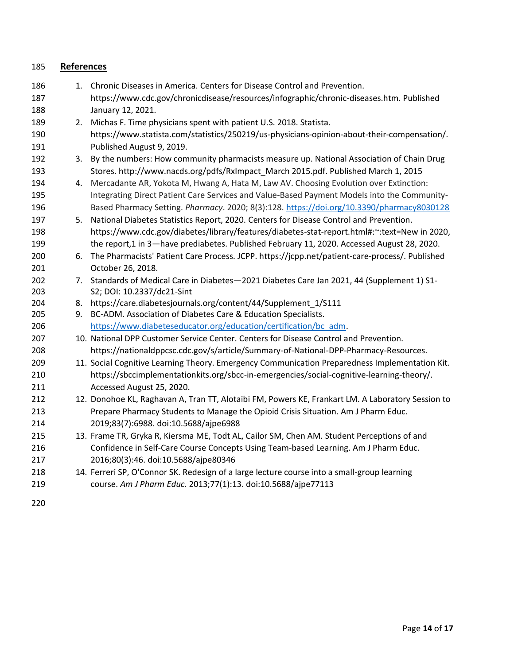| 185 | <b>References</b> |                                                                                                   |
|-----|-------------------|---------------------------------------------------------------------------------------------------|
| 186 |                   | 1. Chronic Diseases in America. Centers for Disease Control and Prevention.                       |
| 187 |                   | https://www.cdc.gov/chronicdisease/resources/infographic/chronic-diseases.htm. Published          |
| 188 |                   | January 12, 2021.                                                                                 |
| 189 | 2.                | Michas F. Time physicians spent with patient U.S. 2018. Statista.                                 |
| 190 |                   | https://www.statista.com/statistics/250219/us-physicians-opinion-about-their-compensation/.       |
| 191 |                   | Published August 9, 2019.                                                                         |
| 192 |                   | 3. By the numbers: How community pharmacists measure up. National Association of Chain Drug       |
| 193 |                   | Stores. http://www.nacds.org/pdfs/RxImpact March 2015.pdf. Published March 1, 2015                |
| 194 | 4.                | Mercadante AR, Yokota M, Hwang A, Hata M, Law AV. Choosing Evolution over Extinction:             |
| 195 |                   | Integrating Direct Patient Care Services and Value-Based Payment Models into the Community-       |
| 196 |                   | Based Pharmacy Setting. Pharmacy. 2020; 8(3):128. https://doi.org/10.3390/pharmacy8030128         |
| 197 | 5.                | National Diabetes Statistics Report, 2020. Centers for Disease Control and Prevention.            |
| 198 |                   | https://www.cdc.gov/diabetes/library/features/diabetes-stat-report.html#:~:text=New in 2020,      |
| 199 |                   | the report,1 in 3-have prediabetes. Published February 11, 2020. Accessed August 28, 2020.        |
| 200 | 6.                | The Pharmacists' Patient Care Process. JCPP. https://jcpp.net/patient-care-process/. Published    |
| 201 |                   | October 26, 2018.                                                                                 |
| 202 | 7.                | Standards of Medical Care in Diabetes-2021 Diabetes Care Jan 2021, 44 (Supplement 1) S1-          |
| 203 |                   | S2; DOI: 10.2337/dc21-Sint                                                                        |
| 204 |                   | 8. https://care.diabetesjournals.org/content/44/Supplement_1/S111                                 |
| 205 |                   | 9. BC-ADM. Association of Diabetes Care & Education Specialists.                                  |
| 206 |                   | https://www.diabeteseducator.org/education/certification/bc_adm.                                  |
| 207 |                   | 10. National DPP Customer Service Center. Centers for Disease Control and Prevention.             |
| 208 |                   | https://nationaldppcsc.cdc.gov/s/article/Summary-of-National-DPP-Pharmacy-Resources.              |
| 209 |                   | 11. Social Cognitive Learning Theory. Emergency Communication Preparedness Implementation Kit.    |
| 210 |                   | https://sbccimplementationkits.org/sbcc-in-emergencies/social-cognitive-learning-theory/.         |
| 211 |                   | Accessed August 25, 2020.                                                                         |
| 212 |                   | 12. Donohoe KL, Raghavan A, Tran TT, Alotaibi FM, Powers KE, Frankart LM. A Laboratory Session to |
| 213 |                   | Prepare Pharmacy Students to Manage the Opioid Crisis Situation. Am J Pharm Educ.                 |
| 214 |                   | 2019;83(7):6988. doi:10.5688/ajpe6988                                                             |
| 215 |                   | 13. Frame TR, Gryka R, Kiersma ME, Todt AL, Cailor SM, Chen AM. Student Perceptions of and        |
| 216 |                   | Confidence in Self-Care Course Concepts Using Team-based Learning. Am J Pharm Educ.               |
| 217 |                   | 2016;80(3):46. doi:10.5688/ajpe80346                                                              |
| 218 |                   | 14. Ferreri SP, O'Connor SK. Redesign of a large lecture course into a small-group learning       |
| 219 |                   | course. Am J Pharm Educ. 2013;77(1):13. doi:10.5688/ajpe77113                                     |
|     |                   |                                                                                                   |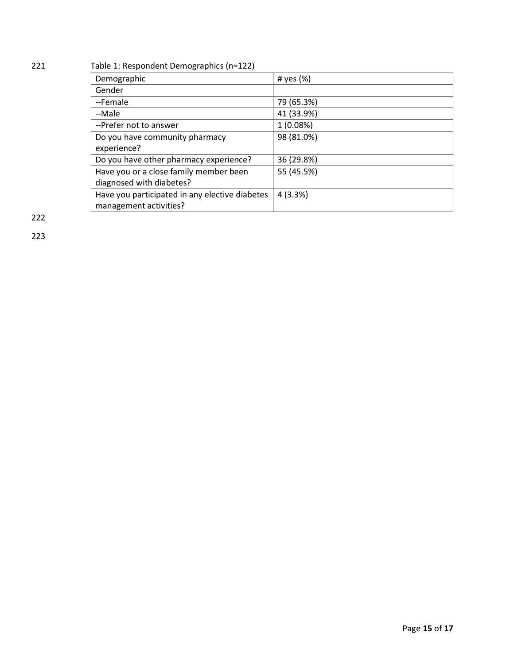# 221 Table 1: Respondent Demographics (n=122)

| Demographic                                    | # yes $(\%)$ |
|------------------------------------------------|--------------|
| Gender                                         |              |
| --Female                                       | 79 (65.3%)   |
| --Male                                         | 41 (33.9%)   |
| --Prefer not to answer                         | 1(0.08%)     |
| Do you have community pharmacy                 | 98 (81.0%)   |
| experience?                                    |              |
| Do you have other pharmacy experience?         | 36 (29.8%)   |
| Have you or a close family member been         | 55 (45.5%)   |
| diagnosed with diabetes?                       |              |
| Have you participated in any elective diabetes | 4(3.3%)      |
| management activities?                         |              |

222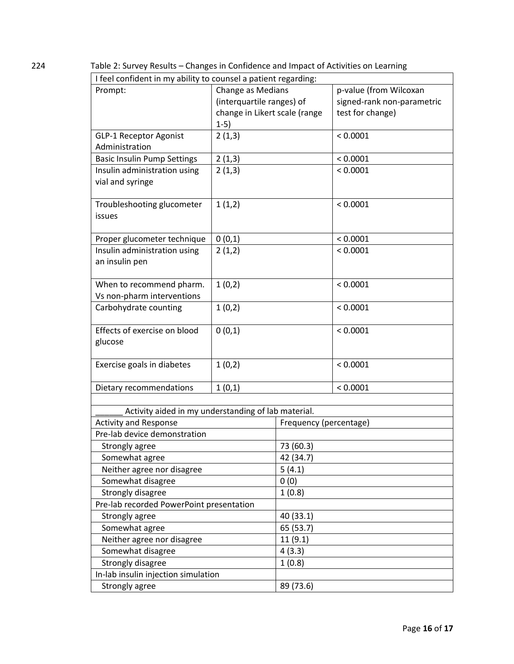224 Table 2: Survey Results – Changes in Confidence and Impact of Activities on Learning

| I feel confident in my ability to counsel a patient regarding: |                               |                        |                            |
|----------------------------------------------------------------|-------------------------------|------------------------|----------------------------|
| Prompt:                                                        | Change as Medians             |                        | p-value (from Wilcoxan     |
|                                                                | (interquartile ranges) of     |                        | signed-rank non-parametric |
|                                                                | change in Likert scale (range |                        | test for change)           |
|                                                                | $1-5)$                        |                        |                            |
| <b>GLP-1 Receptor Agonist</b>                                  | 2(1,3)                        |                        | < 0.0001                   |
| Administration                                                 |                               |                        |                            |
| <b>Basic Insulin Pump Settings</b>                             | 2(1,3)                        |                        | < 0.0001                   |
| Insulin administration using                                   | 2(1,3)                        |                        | < 0.0001                   |
| vial and syringe                                               |                               |                        |                            |
|                                                                |                               |                        |                            |
| Troubleshooting glucometer                                     | 1(1,2)                        |                        | < 0.0001                   |
| <b>issues</b>                                                  |                               |                        |                            |
|                                                                |                               |                        |                            |
| Proper glucometer technique                                    | 0(0,1)                        |                        | < 0.0001                   |
| Insulin administration using                                   | 2(1,2)                        |                        | < 0.0001                   |
| an insulin pen                                                 |                               |                        |                            |
|                                                                |                               |                        |                            |
| When to recommend pharm.                                       | 1(0,2)                        |                        | < 0.0001                   |
| Vs non-pharm interventions                                     |                               |                        |                            |
| Carbohydrate counting                                          | 1(0,2)                        |                        | < 0.0001                   |
| Effects of exercise on blood                                   | 0(0,1)                        |                        | < 0.0001                   |
| glucose                                                        |                               |                        |                            |
|                                                                |                               |                        |                            |
| Exercise goals in diabetes                                     | 1(0,2)                        |                        | < 0.0001                   |
|                                                                |                               |                        |                            |
| Dietary recommendations                                        | 1(0,1)                        |                        | < 0.0001                   |
|                                                                |                               |                        |                            |
| Activity aided in my understanding of lab material.            |                               |                        |                            |
| <b>Activity and Response</b>                                   |                               | Frequency (percentage) |                            |
| Pre-lab device demonstration                                   |                               |                        |                            |
| Strongly agree                                                 |                               | 73 (60.3)              |                            |
| Somewhat agree                                                 |                               | 42 (34.7)              |                            |
| Neither agree nor disagree                                     |                               | 5(4.1)                 |                            |
| Somewhat disagree                                              |                               | 0(0)                   |                            |
| Strongly disagree                                              |                               | 1(0.8)                 |                            |
| Pre-lab recorded PowerPoint presentation                       |                               |                        |                            |
| Strongly agree                                                 |                               | 40 (33.1)              |                            |
| Somewhat agree                                                 |                               | 65 (53.7)              |                            |
| Neither agree nor disagree                                     |                               | 11(9.1)                |                            |
| Somewhat disagree                                              |                               | 4(3.3)                 |                            |
| Strongly disagree                                              |                               | 1(0.8)                 |                            |
| In-lab insulin injection simulation                            |                               |                        |                            |
| Strongly agree                                                 |                               | 89 (73.6)              |                            |